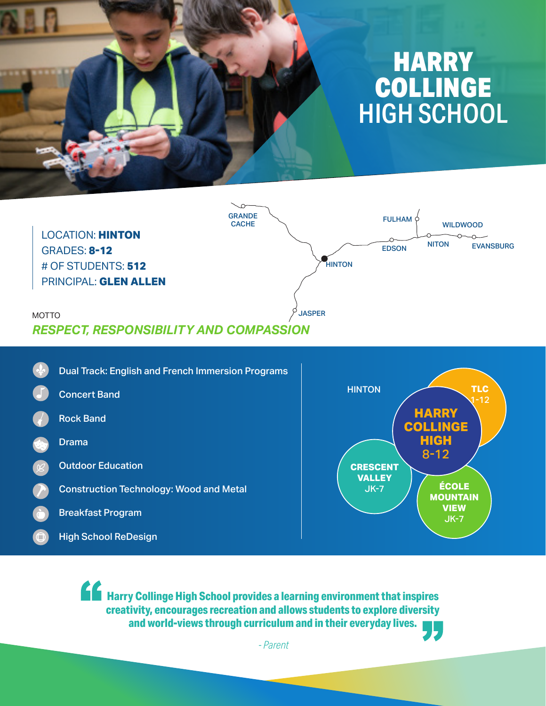



Dual Track: English and French Immersion Programs Concert Band Rock Band Drama Outdoor Education Construction Technology: Wood and Metal Breakfast Program High School ReDesign



**Harry Collinge High School provides a learning environment that inspires creativity, encourages recreation and allows students to explore diversity and world-views through curriculum and in their everyday lives.**

*- Parent*